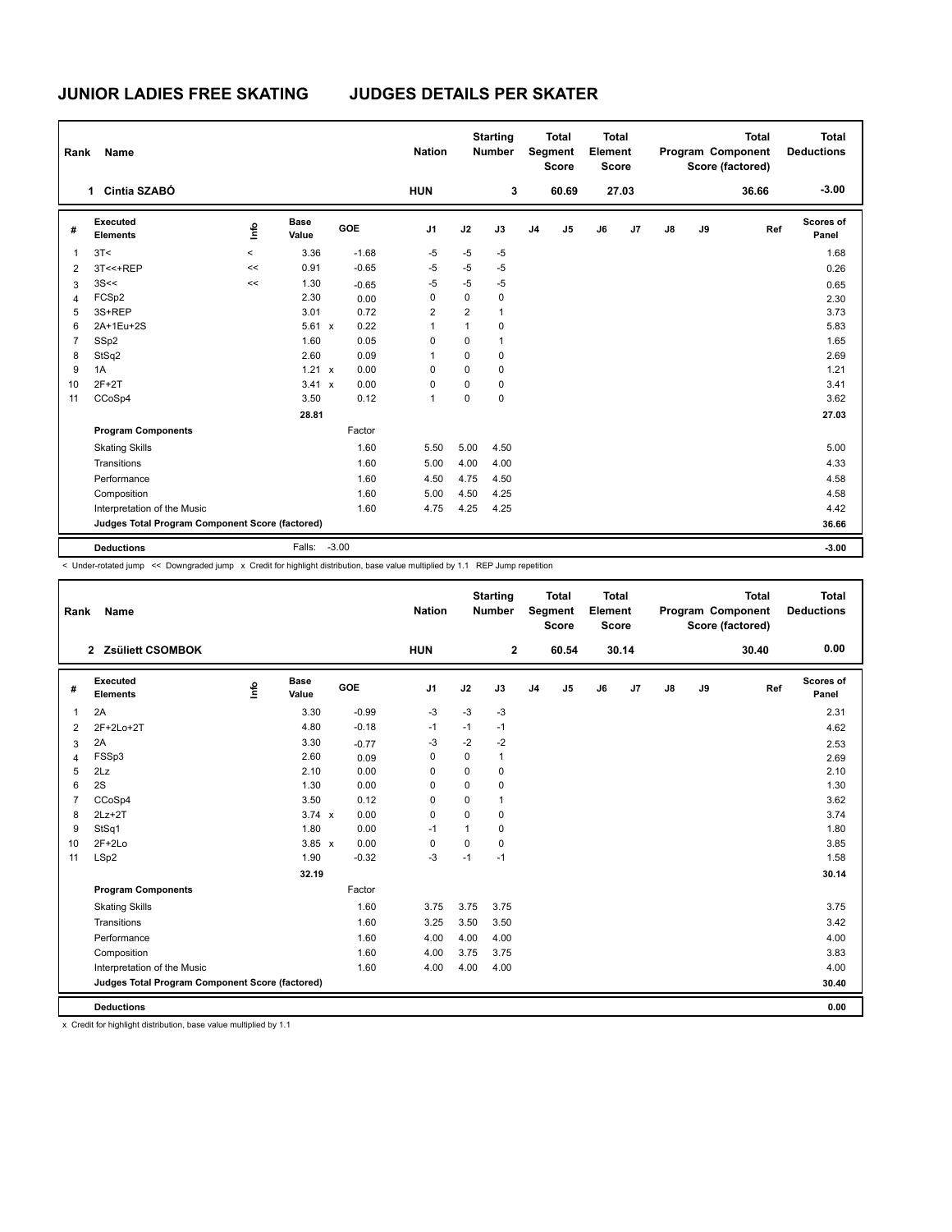## **JUNIOR LADIES FREE SKATING JUDGES DETAILS PER SKATER**

| Rank | Name                                            |          |                      |         | <b>Nation</b>  |                | <b>Starting</b><br><b>Number</b> |                | <b>Total</b><br>Segment<br><b>Score</b> | <b>Total</b><br>Element<br><b>Score</b> |       |               |    | <b>Total</b><br>Program Component<br>Score (factored) | <b>Total</b><br><b>Deductions</b> |
|------|-------------------------------------------------|----------|----------------------|---------|----------------|----------------|----------------------------------|----------------|-----------------------------------------|-----------------------------------------|-------|---------------|----|-------------------------------------------------------|-----------------------------------|
|      | Cintia SZABÓ<br>$\mathbf 1$                     |          |                      |         | <b>HUN</b>     |                | 3                                |                | 60.69                                   |                                         | 27.03 |               |    | 36.66                                                 | $-3.00$                           |
| #    | Executed<br><b>Elements</b>                     | Linfo    | <b>Base</b><br>Value | GOE     | J <sub>1</sub> | J2             | J3                               | J <sub>4</sub> | J <sub>5</sub>                          | J6                                      | J7    | $\mathsf{J}8$ | J9 | Ref                                                   | Scores of<br>Panel                |
| 1    | 3T<                                             | $\hat{}$ | 3.36                 | $-1.68$ | $-5$           | $-5$           | -5                               |                |                                         |                                         |       |               |    |                                                       | 1.68                              |
| 2    | 3T<<+REP                                        | <<       | 0.91                 | $-0.65$ | $-5$           | $-5$           | $-5$                             |                |                                         |                                         |       |               |    |                                                       | 0.26                              |
| 3    | 3S<<                                            | <<       | 1.30                 | $-0.65$ | $-5$           | $-5$           | $-5$                             |                |                                         |                                         |       |               |    |                                                       | 0.65                              |
| 4    | FCSp2                                           |          | 2.30                 | 0.00    | 0              | 0              | $\mathbf 0$                      |                |                                         |                                         |       |               |    |                                                       | 2.30                              |
| 5    | 3S+REP                                          |          | 3.01                 | 0.72    | $\overline{2}$ | $\overline{2}$ | $\mathbf{1}$                     |                |                                         |                                         |       |               |    |                                                       | 3.73                              |
| 6    | 2A+1Eu+2S                                       |          | $5.61 \times$        | 0.22    | 1              | 1              | $\mathbf 0$                      |                |                                         |                                         |       |               |    |                                                       | 5.83                              |
| 7    | SSp2                                            |          | 1.60                 | 0.05    | 0              | 0              | $\mathbf{1}$                     |                |                                         |                                         |       |               |    |                                                       | 1.65                              |
| 8    | StSq2                                           |          | 2.60                 | 0.09    | 1              | 0              | 0                                |                |                                         |                                         |       |               |    |                                                       | 2.69                              |
| 9    | 1A                                              |          | 1.21 x               | 0.00    | 0              | 0              | 0                                |                |                                         |                                         |       |               |    |                                                       | 1.21                              |
| 10   | $2F+2T$                                         |          | $3.41 \times$        | 0.00    | $\Omega$       | $\Omega$       | $\Omega$                         |                |                                         |                                         |       |               |    |                                                       | 3.41                              |
| 11   | CCoSp4                                          |          | 3.50                 | 0.12    | 1              | 0              | $\mathbf 0$                      |                |                                         |                                         |       |               |    |                                                       | 3.62                              |
|      |                                                 |          | 28.81                |         |                |                |                                  |                |                                         |                                         |       |               |    |                                                       | 27.03                             |
|      | <b>Program Components</b>                       |          |                      | Factor  |                |                |                                  |                |                                         |                                         |       |               |    |                                                       |                                   |
|      | <b>Skating Skills</b>                           |          |                      | 1.60    | 5.50           | 5.00           | 4.50                             |                |                                         |                                         |       |               |    |                                                       | 5.00                              |
|      | Transitions                                     |          |                      | 1.60    | 5.00           | 4.00           | 4.00                             |                |                                         |                                         |       |               |    |                                                       | 4.33                              |
|      | Performance                                     |          |                      | 1.60    | 4.50           | 4.75           | 4.50                             |                |                                         |                                         |       |               |    |                                                       | 4.58                              |
|      | Composition                                     |          |                      | 1.60    | 5.00           | 4.50           | 4.25                             |                |                                         |                                         |       |               |    |                                                       | 4.58                              |
|      | Interpretation of the Music                     |          |                      | 1.60    | 4.75           | 4.25           | 4.25                             |                |                                         |                                         |       |               |    |                                                       | 4.42                              |
|      | Judges Total Program Component Score (factored) |          |                      |         |                |                |                                  |                |                                         |                                         |       |               |    |                                                       | 36.66                             |
|      | <b>Deductions</b>                               |          | Falls:               | $-3.00$ |                |                |                                  |                |                                         |                                         |       |               |    |                                                       | $-3.00$                           |

< Under-rotated jump << Downgraded jump x Credit for highlight distribution, base value multiplied by 1.1 REP Jump repetition

| Rank           | Name                                            |      |                      |         | <b>Nation</b>  |             | <b>Starting</b><br><b>Number</b> |                | <b>Total</b><br>Segment<br><b>Score</b> | <b>Total</b><br>Element<br><b>Score</b> |       |               |    | <b>Total</b><br>Program Component<br>Score (factored) | <b>Total</b><br><b>Deductions</b> |
|----------------|-------------------------------------------------|------|----------------------|---------|----------------|-------------|----------------------------------|----------------|-----------------------------------------|-----------------------------------------|-------|---------------|----|-------------------------------------------------------|-----------------------------------|
|                | 2 Zsüliett CSOMBOK                              |      |                      |         | <b>HUN</b>     |             | $\mathbf{2}$                     |                | 60.54                                   |                                         | 30.14 |               |    | 30.40                                                 | 0.00                              |
| #              | Executed<br><b>Elements</b>                     | lnfo | <b>Base</b><br>Value | GOE     | J <sub>1</sub> | J2          | J3                               | J <sub>4</sub> | J <sub>5</sub>                          | J6                                      | J7    | $\mathsf{J}8$ | J9 | Ref                                                   | Scores of<br>Panel                |
| 1              | 2A                                              |      | 3.30                 | $-0.99$ | $-3$           | $-3$        | $-3$                             |                |                                         |                                         |       |               |    |                                                       | 2.31                              |
| $\overline{2}$ | 2F+2Lo+2T                                       |      | 4.80                 | $-0.18$ | $-1$           | $-1$        | $-1$                             |                |                                         |                                         |       |               |    |                                                       | 4.62                              |
| 3              | 2A                                              |      | 3.30                 | $-0.77$ | $-3$           | $-2$        | $-2$                             |                |                                         |                                         |       |               |    |                                                       | 2.53                              |
| $\overline{4}$ | FSSp3                                           |      | 2.60                 | 0.09    | 0              | $\mathbf 0$ | $\mathbf{1}$                     |                |                                         |                                         |       |               |    |                                                       | 2.69                              |
| 5              | 2Lz                                             |      | 2.10                 | 0.00    | 0              | $\Omega$    | $\mathbf 0$                      |                |                                         |                                         |       |               |    |                                                       | 2.10                              |
| 6              | 2S                                              |      | 1.30                 | 0.00    | 0              | $\mathbf 0$ | $\mathbf 0$                      |                |                                         |                                         |       |               |    |                                                       | 1.30                              |
| $\overline{7}$ | CCoSp4                                          |      | 3.50                 | 0.12    | 0              | $\mathbf 0$ | $\mathbf{1}$                     |                |                                         |                                         |       |               |    |                                                       | 3.62                              |
| 8              | $2Lz+2T$                                        |      | $3.74 \times$        | 0.00    | 0              | $\Omega$    | $\mathbf 0$                      |                |                                         |                                         |       |               |    |                                                       | 3.74                              |
| 9              | StSq1                                           |      | 1.80                 | 0.00    | $-1$           | 1           | 0                                |                |                                         |                                         |       |               |    |                                                       | 1.80                              |
| 10             | $2F+2Lo$                                        |      | $3.85 \times$        | 0.00    | 0              | $\mathbf 0$ | $\mathbf 0$                      |                |                                         |                                         |       |               |    |                                                       | 3.85                              |
| 11             | LSp2                                            |      | 1.90                 | $-0.32$ | $-3$           | $-1$        | $-1$                             |                |                                         |                                         |       |               |    |                                                       | 1.58                              |
|                |                                                 |      | 32.19                |         |                |             |                                  |                |                                         |                                         |       |               |    |                                                       | 30.14                             |
|                | <b>Program Components</b>                       |      |                      | Factor  |                |             |                                  |                |                                         |                                         |       |               |    |                                                       |                                   |
|                | <b>Skating Skills</b>                           |      |                      | 1.60    | 3.75           | 3.75        | 3.75                             |                |                                         |                                         |       |               |    |                                                       | 3.75                              |
|                | Transitions                                     |      |                      | 1.60    | 3.25           | 3.50        | 3.50                             |                |                                         |                                         |       |               |    |                                                       | 3.42                              |
|                | Performance                                     |      |                      | 1.60    | 4.00           | 4.00        | 4.00                             |                |                                         |                                         |       |               |    |                                                       | 4.00                              |
|                | Composition                                     |      |                      | 1.60    | 4.00           | 3.75        | 3.75                             |                |                                         |                                         |       |               |    |                                                       | 3.83                              |
|                | Interpretation of the Music                     |      |                      | 1.60    | 4.00           | 4.00        | 4.00                             |                |                                         |                                         |       |               |    |                                                       | 4.00                              |
|                | Judges Total Program Component Score (factored) |      |                      |         |                |             |                                  |                |                                         |                                         |       |               |    |                                                       | 30.40                             |
|                | <b>Deductions</b>                               |      |                      |         |                |             |                                  |                |                                         |                                         |       |               |    |                                                       | 0.00                              |

x Credit for highlight distribution, base value multiplied by 1.1